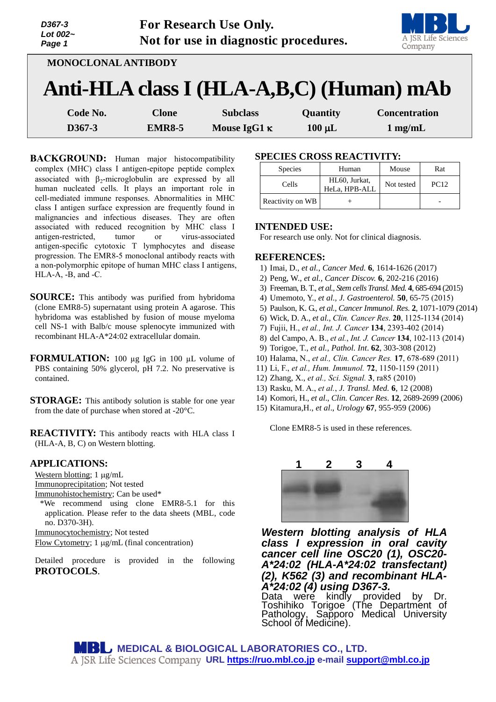| D367-3<br>Lot 002~<br>Page 1 | For Research Use Only.<br>Not for use in diagnostic procedures. | A JSR Life Sciences<br>Company |             |                                          |
|------------------------------|-----------------------------------------------------------------|--------------------------------|-------------|------------------------------------------|
| MONOCLONAL ANTIBODY          |                                                                 |                                |             |                                          |
|                              |                                                                 |                                |             | Anti-HLA class I (HLA-A,B,C) (Human) mAb |
| Code No.                     | <b>Clone</b>                                                    | <b>Subclass</b>                | Quantity    | <b>Concentration</b>                     |
| D367-3                       | <b>EMR8-5</b>                                                   | Mouse IgG1 $\kappa$            | $100 \mu L$ | $1$ mg/mL                                |

**BACKGROUND:** Human major histocompatibility complex (MHC) class I antigen-epitope peptide complex associated with  $\beta_2$ -microglobulin are expressed by all human nucleated cells. It plays an important role in cell-mediated immune responses. Abnormalities in MHC class I antigen surface expression are frequently found in malignancies and infectious diseases. They are often associated with reduced recognition by MHC class I antigen-restricted, tumor or virus-associated antigen-specific cytotoxic T lymphocytes and disease progression. The EMR8-5 monoclonal antibody reacts with a non-polymorphic epitope of human MHC class I antigens, HLA-A, -B, and -C.

- **SOURCE:** This antibody was purified from hybridoma (clone EMR8-5) supernatant using protein A agarose. This hybridoma was established by fusion of mouse myeloma cell NS-1 with Balb/c mouse splenocyte immunized with recombinant HLA-A\*24:02 extracellular domain.
- **FORMULATION:** 100 µg IgG in 100 µL volume of PBS containing 50% glycerol, pH 7.2. No preservative is contained.
- **STORAGE:** This antibody solution is stable for one year from the date of purchase when stored at -20°C.

**REACTIVITY:** This antibody reacts with HLA class I (HLA-A, B, C) on Western blotting.

## **APPLICATIONS:**

Western blotting;  $1 \mu g/mL$ Immunoprecipitation; Not tested Immunohistochemistry; Can be used\*

\*We recommend using clone EMR8-5.1 for this application. Please refer to the data sheets (MBL, code no. D370-3H).

Immunocytochemistry; Not tested

Flow Cytometry;  $1 \mu g/mL$  (final concentration)

Detailed procedure is provided in the following **PROTOCOLS**.

# **SPECIES CROSS REACTIVITY:**

| <b>Species</b>   | Human                          | Mouse      | Rat         |
|------------------|--------------------------------|------------|-------------|
| Cells            | HL60, Jurkat,<br>HeLa, HPB-ALL | Not tested | <b>PC12</b> |
| Reactivity on WB |                                |            |             |

# **INTENDED USE:**

For research use only. Not for clinical diagnosis.

## **REFERENCES:**

- 1) Imai, D., *et al., Cancer Med.* **6**, 1614-1626 (2017)
- 2) Peng, W., *et al., Cancer Discov.* **6**, 202-216 (2016)
- 3) Freeman, B. T., *et al., Stem cells Transl. Med.* **4**, 685-694 (2015)
- 4) Umemoto, Y., *et al., J. Gastroenterol.* **50**, 65-75 (2015)
- 5) Paulson, K. G., *et al., Cancer Immunol. Res*. **2**, 1071-1079 (2014)
- 6) Wick, D. A., *et al., Clin. Cancer Res*. **20**, 1125-1134 (2014)
- 7) Fujii, H., *et al., Int. J. Cancer* **134**, 2393-402 (2014)
- 8) del Campo, A. B., *et al.*, *Int. J. Cancer* **134**, 102-113 (2014)
- 9) Torigoe, T., *et al., Pathol. Int*. **62**, 303-308 (2012)
- 10) Halama, N., *et al., Clin. Cancer Res.* **17**, 678-689 (2011)
- 11) Li, F., *et al., Hum. Immunol.* **72**, 1150-1159 (2011)
- 12) Zhang, X., *et al., Sci. Signal.* **3**, ra85 (2010)
- 13) Rasku, M. A., *et al.*, *J. Transl. Med.* **6**, 12 (2008)
- 14) Komori, H., *et al*., *Clin. Cancer Res*. **12**, 2689-2699 (2006)
- 15) Kitamura,H., *et al*., *Urology* **67**, 955-959 (2006)

Clone EMR8-5 is used in these references.



*Western blotting analysis of HLA class I expression in oral cavity cancer cell line OSC20 (1), OSC20- A\*24:02 (HLA-A\*24:02 transfectant) (2), K562 (3) and recombinant HLA-A\*24:02 (4) using D367-3.*

kindly provided by Dr. Toshihiko Torigoe (The Department of Pathology, Sapporo Medical University School of Medicine).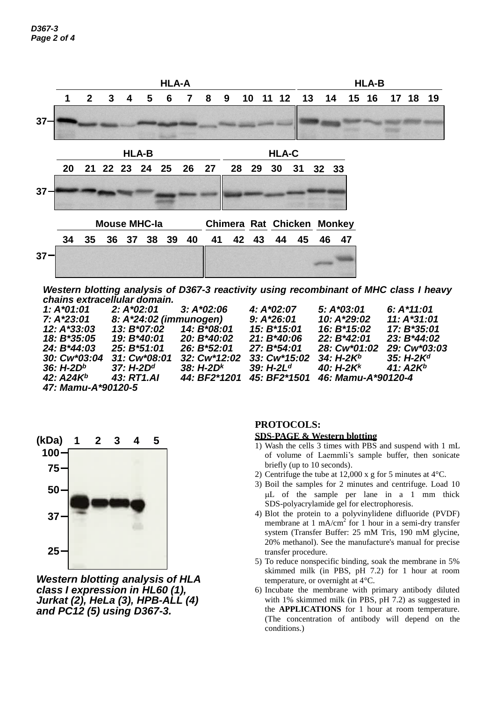

*Western blotting analysis of D367-3 reactivity using recombinant of MHC class I heavy chains extracellular domain.*

| $1: A*01:01$       | $2: A*02:01$           | $3: A*02:06$ | $4: A*02:07$  | $5: A*03:01$             | 6: $A*11:01$  |  |  |  |  |
|--------------------|------------------------|--------------|---------------|--------------------------|---------------|--|--|--|--|
| 7: A*23:01         | 8: A*24:02 (immunogen) |              | $9: A*26:01$  | 10: A*29:02              | $11: A*31:01$ |  |  |  |  |
| 12: A*33:03        | 13: B*07:02            | 14: B*08:01  | 15: B*15:01   | 16: B <sup>*</sup> 15:02 | 17: B*35:01   |  |  |  |  |
| 18: B*35:05        | 19: B*40:01            | 20: B*40:02  | $21: B*40:06$ | $22: B*42:01$            | $23: B*44:02$ |  |  |  |  |
| 24: B*44:03        | 25: B*51:01            | 26: B*52:01  | 27: B*54:01   | 28: Cw*01:02             | 29: Cw*03:03  |  |  |  |  |
| 30: Cw*03:04       | 31: Cw*08:01           | 32: Cw*12:02 | 33: Cw*15:02  | $34: H-2K^b$             | $35: H-2Kd$   |  |  |  |  |
| $36: H-2Db$        | $37: H-2Dd$            | $38: H-2Dk$  | $39: H-2Ld$   | 40: $H - 2K^k$           | $41: A2K^b$   |  |  |  |  |
| 42: $A24K^b$       | 43: RT1.AI             | 44: BF2*1201 | 45: BF2*1501  | 46: Mamu-A*90120-4       |               |  |  |  |  |
| 47: Mamu-A*90120-5 |                        |              |               |                          |               |  |  |  |  |



*Western blotting analysis of HLA class I expression in HL60 (1), Jurkat (2), HeLa (3), HPB-ALL (4) and PC12 (5) using D367-3.*

# **PROTOCOLS:**

### **SDS-PAGE & Western blotting**

- 1) Wash the cells 3 times with PBS and suspend with 1 mL of volume of Laemmli's sample buffer, then sonicate briefly (up to 10 seconds).
- 2) Centrifuge the tube at 12,000 x g for 5 minutes at 4°C.
- 3) Boil the samples for 2 minutes and centrifuge. Load 10 L of the sample per lane in a 1 mm thick SDS-polyacrylamide gel for electrophoresis.
- 4) Blot the protein to a polyvinylidene difluoride (PVDF) membrane at 1 mA/cm<sup>2</sup> for 1 hour in a semi-dry transfer system (Transfer Buffer: 25 mM Tris, 190 mM glycine, 20% methanol). See the manufacture's manual for precise transfer procedure.
- 5) To reduce nonspecific binding, soak the membrane in 5% skimmed milk (in PBS, pH 7.2) for 1 hour at room temperature, or overnight at 4°C.
- 6) Incubate the membrane with primary antibody diluted with 1% skimmed milk (in PBS, pH 7.2) as suggested in the **APPLICATIONS** for 1 hour at room temperature. (The concentration of antibody will depend on the conditions.)